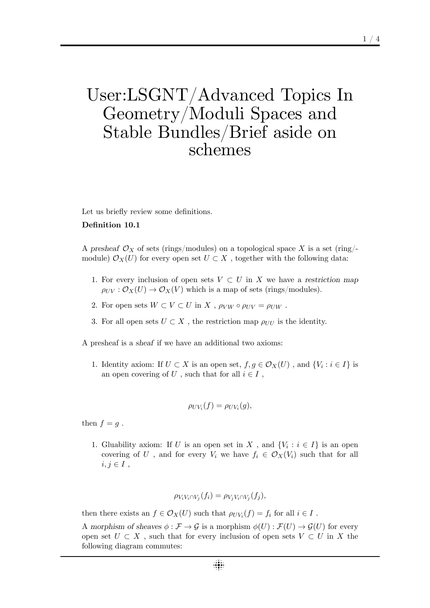# User:LSGNT/Advanced Topics In Geometry/Moduli Spaces and Stable Bundles/Brief aside on schemes

Let us briefly review some definitions.

### **Definition 10.1**

A presheaf  $\mathcal{O}_X$  of sets (rings/modules) on a topological space X is a set (ring/module)  $\mathcal{O}_X(U)$  for every open set  $U \subset X$ , together with the following data:

- 1. For every inclusion of open sets  $V \subset U$  in X we have a restriction map  $\rho_{UV}: \mathcal{O}_X(U) \to \mathcal{O}_X(V)$  which is a map of sets (rings/modules).
- 2. For open sets  $W \subset V \subset U$  in  $X$ ,  $\rho_{VW} \circ \rho_{UV} = \rho_{UW}$ .
- 3. For all open sets  $U \subset X$ , the restriction map  $\rho_{UU}$  is the identity.

A presheaf is a *sheaf* if we have an additional two axioms:

1. Identity axiom: If  $U \subset X$  is an open set,  $f, g \in \mathcal{O}_X(U)$ , and  $\{V_i : i \in I\}$  is an open covering of  $U$ , such that for all  $i \in I$ ,

$$
\rho_{UV_i}(f) = \rho_{UV_i}(g),
$$

then  $f = g$ .

1. Gluability axiom: If *U* is an open set in *X*, and  $\{V_i : i \in I\}$  is an open covering of *U*, and for every  $V_i$  we have  $f_i \in \mathcal{O}_X(V_i)$  such that for all  $i, j \in I$ ,

$$
\rho_{V_i V_i \cap V_j}(f_i) = \rho_{V_j V_i \cap V_j}(f_j),
$$

then there exists an  $f \in \mathcal{O}_X(U)$  such that  $\rho_{UV_i}(f) = f_i$  for all  $i \in I$ .

A morphism of sheaves  $\phi : \mathcal{F} \to \mathcal{G}$  is a morphism  $\phi(U) : \mathcal{F}(U) \to \mathcal{G}(U)$  for every open set  $U \subset X$ , such that for every inclusion of open sets  $V \subset U$  in X the following diagram commutes: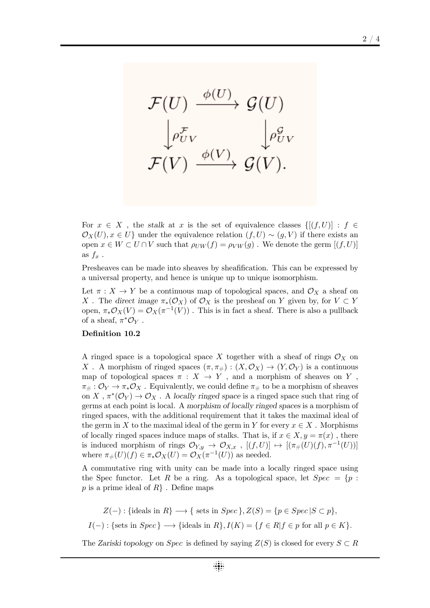$$
\mathcal{F}(U) \xrightarrow{\phi(U)} \mathcal{G}(U)
$$

$$
\downarrow_{\rho_{UV}^{\mathcal{F}}} \qquad \qquad \downarrow_{\rho_{UV}^{\mathcal{G}}} \mathcal{F}(V) \xrightarrow{\phi(V)} \mathcal{G}(V).
$$

For  $x \in X$ , the *stalk* at  $x$  is the set of equivalence classes  $\{[(f, U)] : f \in$  $\mathcal{O}_X(U), x \in U$ } under the equivalence relation  $(f, U) \sim (g, V)$  if there exists an open  $x \in W \subset U \cap V$  such that  $\rho_{UW}(f) = \rho_{VW}(g)$ . We denote the germ  $[(f, U)]$ as  $f_x$ .

Presheaves can be made into sheaves by sheafification. This can be expressed by a universal property, and hence is unique up to unique isomorphism.

Let  $\pi$  :  $X \to Y$  be a continuous map of topological spaces, and  $\mathcal{O}_X$  a sheaf on *X*. The *direct* image  $\pi_*(\mathcal{O}_X)$  of  $\mathcal{O}_X$  is the presheaf on *Y* given by, for  $V \subset Y$ open,  $\pi_* \mathcal{O}_X(V) = \mathcal{O}_X(\pi^{-1}(V))$ . This is in fact a sheaf. There is also a pullback of a sheaf,  $\pi^* \mathcal{O}_Y$ .

### **Definition 10.2**

A ringed space is a topological space X together with a sheaf of rings  $\mathcal{O}_X$  on *X*. A morphism of ringed spaces  $(\pi, \pi_{\#}) : (X, \mathcal{O}_X) \to (Y, \mathcal{O}_Y)$  is a continuous map of topological spaces  $\pi : X \to Y$ , and a morphism of sheaves on Y,  $\pi_{\#}: \mathcal{O}_Y \to \pi_* \mathcal{O}_X$ . Equivalently, we could define  $\pi_{\#}$  to be a morphism of sheaves on *X*,  $\pi^*(\mathcal{O}_Y) \to \mathcal{O}_X$ . A *locally ringed space* is a ringed space such that ring of germs at each point is local. A *morphism of locally ringed spaces* is a morphism of ringed spaces, with the additional requirement that it takes the maximal ideal of the germ in *X* to the maximal ideal of the germ in *Y* for every  $x \in X$ . Morphisms of locally ringed spaces induce maps of stalks. That is, if  $x \in X, y = \pi(x)$ , there is induced morphism of rings  $\mathcal{O}_{Y,y} \to \mathcal{O}_{X,x}$ ,  $[(f,U)] \mapsto [(\pi_*(U)(f), \pi^{-1}(U))]$ where  $\pi_{\#}(U)(f) \in \pi_{*} \mathcal{O}_X(U) = \mathcal{O}_X(\pi^{-1}(U))$  as needed.

A commutative ring with unity can be made into a locally ringed space using the Spec functor. Let R be a ring. As a topological space, let  $Spec = \{p :$ *p* is a prime ideal of *R}* . Define maps

 $Z(-)$ : {ideals in  $R$ }  $\longrightarrow$  { sets in *Spec* },  $Z(S) = \{p \in Spec | S \subset p\}$ ,  $I(-):$  {sets in  $Spec$ }  $\longrightarrow$  {ideals in  $R$ },  $I(K) = \{f \in R | f \in p$  for all  $p \in K\}$ .

The *Zariski topology* on *Spec* is defined by saying  $Z(S)$  is closed for every  $S \subset R$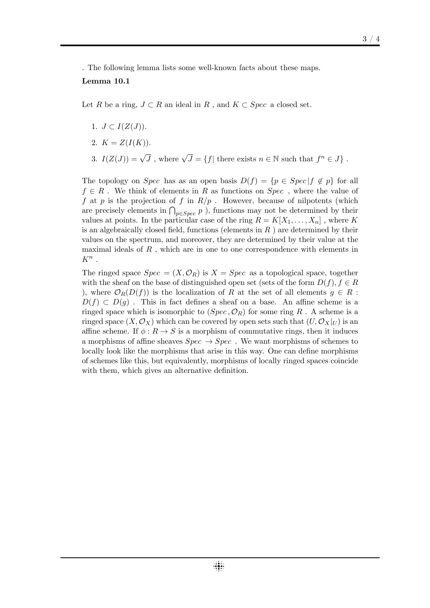. The following lemma lists some well-known facts about these maps. **Lemma 10.1**

Let *R* be a ring,  $J \subset R$  an ideal in  $R$ , and  $K \subset Spec$  a closed set.

- 1.  $J \subset I(Z(J)).$
- 2.  $K = Z(I(K)).$
- 3.  $I(Z(J)) = \sqrt{J}$ , where  $\sqrt{J} = \{f |$  there exists  $n \in \mathbb{N}$  such that  $f^n \in J\}$ .

The topology on *Spec* has as an open basis  $D(f) = \{p \in Spec | f \notin p\}$  for all *f ∈ R* . We think of elements in *R* as functions on *Spec* , where the value of *f* at *p* is the projection of *f* in *R*/*p* . However, because of nilpotents (which are precisely elements in  $\bigcap_{p \in Spec} p$  ), functions may not be determined by their values at points. In the particular case of the ring  $R = K[X_1, \ldots, X_n]$ , where K is an algebraically closed field, functions (elements in *R* ) are determined by their values on the spectrum, and moreover, they are determined by their value at the maximal ideals of *R* , which are in one to one correspondence with elements in *K<sup>n</sup>* .

The ringed space  $Spec = (X, \mathcal{O}_R)$  is  $X = Spec$  as a topological space, together with the sheaf on the base of distinguished open set (sets of the form  $D(f)$ *, f*  $\in$  *R* ), where  $\mathcal{O}_R(D(f))$  is the localization of R at the set of all elements  $g \in R$ :  $D(f) \subset D(g)$ . This in fact defines a sheaf on a base. An affine scheme is a ringed space which is isomorphic to  $(Spec, \mathcal{O}_R)$  for some ring  $R$ . A scheme is a ringed space  $(X, \mathcal{O}_X)$  which can be covered by open sets such that  $(U, \mathcal{O}_X|_U)$  is an affine scheme. If  $\phi: R \to S$  is a morphism of commutative rings, then it induces a morphisms of affine sheaves  $Spec \rightarrow Spec$ . We want morphisms of schemes to locally look like the morphisms that arise in this way. One can define morphisms of schemes like this, but equivalently, morphisms of locally ringed spaces coincide with them, which gives an alternative definition.